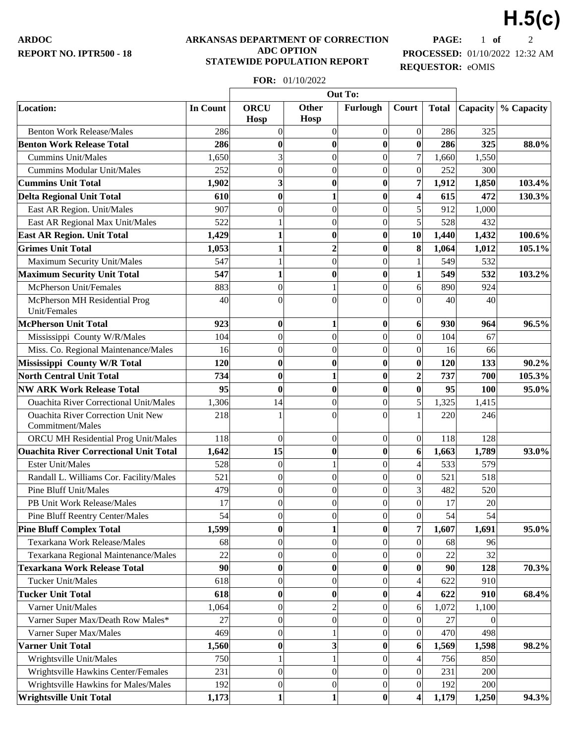## **ARKANSAS DEPARTMENT OF CORRECTION ADC OPTION STATEWIDE POPULATION REPORT**

**PAGE:** 1 **of** 2 **PROCESSED:** 01/10/2022 12:32 AM **REQUESTOR:** eOMIS

**H.5(c)**

## **FOR:** 01/10/2022

|                                                               |                 | Out To:                    |                             |                  |                         |              |          |            |
|---------------------------------------------------------------|-----------------|----------------------------|-----------------------------|------------------|-------------------------|--------------|----------|------------|
| Location:                                                     | <b>In Count</b> | <b>ORCU</b><br><b>Hosp</b> | <b>Other</b><br><b>Hosp</b> | Furlough         | Court                   | <b>Total</b> | Capacity | % Capacity |
| <b>Benton Work Release/Males</b>                              | 286             | $\overline{0}$             | $\boldsymbol{0}$            | $\overline{0}$   | 0                       | 286          | 325      |            |
| <b>Benton Work Release Total</b>                              | 286             | 0                          | $\bf{0}$                    | $\bf{0}$         | 0                       | 286          | 325      | 88.0%      |
| <b>Cummins Unit/Males</b>                                     | 1,650           | 3                          | $\boldsymbol{0}$            | $\overline{0}$   | $\overline{7}$          | 1,660        | 1,550    |            |
| <b>Cummins Modular Unit/Males</b>                             | 252             | $\Omega$                   | $\overline{0}$              | $\overline{0}$   | 0                       | 252          | 300      |            |
| <b>Cummins Unit Total</b>                                     | 1,902           | 3                          | $\boldsymbol{0}$            | $\bf{0}$         | $\overline{7}$          | 1,912        | 1,850    | 103.4%     |
| <b>Delta Regional Unit Total</b>                              | 610             | $\bf{0}$                   | $\mathbf{1}$                | $\bf{0}$         | $\vert 4 \vert$         | 615          | 472      | 130.3%     |
| East AR Region. Unit/Males                                    | 907             | $\Omega$                   | $\overline{0}$              | $\overline{0}$   | $\mathbf{5}$            | 912          | 1,000    |            |
| East AR Regional Max Unit/Males                               | 522             |                            | $\boldsymbol{0}$            | $\overline{0}$   | $\vert$                 | 528          | 432      |            |
| <b>East AR Region. Unit Total</b>                             | 1,429           | 1                          | $\boldsymbol{0}$            | $\bf{0}$         | 10                      | 1,440        | 1,432    | 100.6%     |
| <b>Grimes Unit Total</b>                                      | 1,053           | 1                          | $\overline{2}$              | $\boldsymbol{0}$ | 8                       | 1,064        | 1,012    | 105.1%     |
| Maximum Security Unit/Males                                   | 547             |                            | $\overline{0}$              | $\overline{0}$   | $\mathbf{1}$            | 549          | 532      |            |
| <b>Maximum Security Unit Total</b>                            | 547             | 1                          | $\bf{0}$                    | $\bf{0}$         | $1\vert$                | 549          | 532      | 103.2%     |
| McPherson Unit/Females                                        | 883             | $\theta$                   | 1                           | $\overline{0}$   | $6 \mid$                | 890          | 924      |            |
| McPherson MH Residential Prog<br>Unit/Females                 | 40              | $\Omega$                   | $\overline{0}$              | $\Omega$         | $\Omega$                | 40           | 40       |            |
| <b>McPherson Unit Total</b>                                   | 923             | $\bf{0}$                   | 1                           | $\bf{0}$         | 6 <sup>1</sup>          | 930          | 964      | 96.5%      |
| Mississippi County W/R/Males                                  | 104             | $\Omega$                   | $\overline{0}$              | $\overline{0}$   | 0                       | 104          | 67       |            |
| Miss. Co. Regional Maintenance/Males                          | 16              | $\theta$                   | $\boldsymbol{0}$            | $\overline{0}$   | 0                       | 16           | 66       |            |
| Mississippi County W/R Total                                  | 120             | $\bf{0}$                   | $\bf{0}$                    | $\bf{0}$         | 0                       | 120          | 133      | 90.2%      |
| <b>North Central Unit Total</b>                               | 734             | 0                          | $\mathbf{1}$                | $\bf{0}$         | $\mathbf{2}$            | 737          | 700      | 105.3%     |
| <b>NW ARK Work Release Total</b>                              | 95              | $\bf{0}$                   | $\bf{0}$                    | $\bf{0}$         | 0                       | 95           | 100      | 95.0%      |
| <b>Ouachita River Correctional Unit/Males</b>                 | 1,306           | 14                         | $\boldsymbol{0}$            | $\overline{0}$   | $\mathbf{5}$            | 1,325        | 1,415    |            |
| <b>Ouachita River Correction Unit New</b><br>Commitment/Males | 218             |                            | $\overline{0}$              | $\boldsymbol{0}$ | $\mathbf{1}$            | 220          | 246      |            |
| ORCU MH Residential Prog Unit/Males                           | 118             | $\overline{0}$             | $\boldsymbol{0}$            | $\overline{0}$   | 0                       | 118          | 128      |            |
| <b>Ouachita River Correctional Unit Total</b>                 | 1,642           | 15                         | $\bf{0}$                    | $\boldsymbol{0}$ | $6\vert$                | 1,663        | 1,789    | 93.0%      |
| <b>Ester Unit/Males</b>                                       | 528             | $\overline{0}$             | $\mathbf{1}$                | $\overline{0}$   | $\vert 4 \vert$         | 533          | 579      |            |
| Randall L. Williams Cor. Facility/Males                       | 521             | $\overline{0}$             | $\overline{0}$              | $\boldsymbol{0}$ | 0                       | 521          | 518      |            |
| Pine Bluff Unit/Males                                         | 479             | 0                          | $\boldsymbol{0}$            | $\overline{0}$   | $\overline{3}$          | 482          | 520      |            |
| PB Unit Work Release/Males                                    | 17              | $\overline{0}$             | $\overline{0}$              | $\overline{0}$   | 0                       | 17           | 20       |            |
| Pine Bluff Reentry Center/Males                               | 54              | $\boldsymbol{0}$           | $\vert 0 \vert$             | 0                | 0                       | 54           | 54       |            |
| <b>Pine Bluff Complex Total</b>                               | 1,599           | $\bf{0}$                   | $\mathbf{1}$                | 0                | $\overline{7}$          | 1,607        | 1,691    | 95.0%      |
| Texarkana Work Release/Males                                  | 68              | $\overline{0}$             | $\boldsymbol{0}$            | $\overline{0}$   | 0                       | 68           | 96       |            |
| Texarkana Regional Maintenance/Males                          | 22              | $\overline{0}$             | $\overline{0}$              | $\overline{0}$   | 0                       | 22           | 32       |            |
| <b>Texarkana Work Release Total</b>                           | 90              | $\bf{0}$                   | $\bf{0}$                    | $\boldsymbol{0}$ | 0                       | 90           | 128      | 70.3%      |
| <b>Tucker Unit/Males</b>                                      | 618             | $\overline{0}$             | $\boldsymbol{0}$            | 0                | $\left 4\right $        | 622          | 910      |            |
| <b>Tucker Unit Total</b>                                      | 618             | $\bf{0}$                   | $\boldsymbol{0}$            | $\bf{0}$         | $\overline{\mathbf{4}}$ | 622          | 910      | 68.4%      |
| Varner Unit/Males                                             | 1,064           | $\overline{0}$             | $\overline{c}$              | $\overline{0}$   | $6 \mid$                | 1,072        | 1,100    |            |
| Varner Super Max/Death Row Males*                             | 27              | $\overline{0}$             | $\boldsymbol{0}$            | 0                | 0                       | 27           | $\theta$ |            |
| Varner Super Max/Males                                        | 469             | $\overline{0}$             | 1                           | $\vert 0 \vert$  | 0                       | 470          | 498      |            |
| <b>Varner Unit Total</b>                                      | 1,560           | $\bf{0}$                   | 3                           | 0                | $6\vert$                | 1,569        | 1,598    | 98.2%      |
| Wrightsville Unit/Males                                       | 750             |                            | $\mathbf{1}$                | $\overline{0}$   | $\left 4\right $        | 756          | 850      |            |
| Wrightsville Hawkins Center/Females                           | 231             | $\overline{0}$             | $\overline{0}$              | $\overline{0}$   | 0                       | 231          | 200      |            |
| Wrightsville Hawkins for Males/Males                          | 192             | $\overline{0}$             | $\boldsymbol{0}$            | $\overline{0}$   | 0                       | 192          | 200      |            |
| <b>Wrightsville Unit Total</b>                                | 1,173           | 1                          | $\mathbf{1}$                | $\boldsymbol{0}$ | $\overline{\mathbf{4}}$ | 1,179        | 1,250    | 94.3%      |